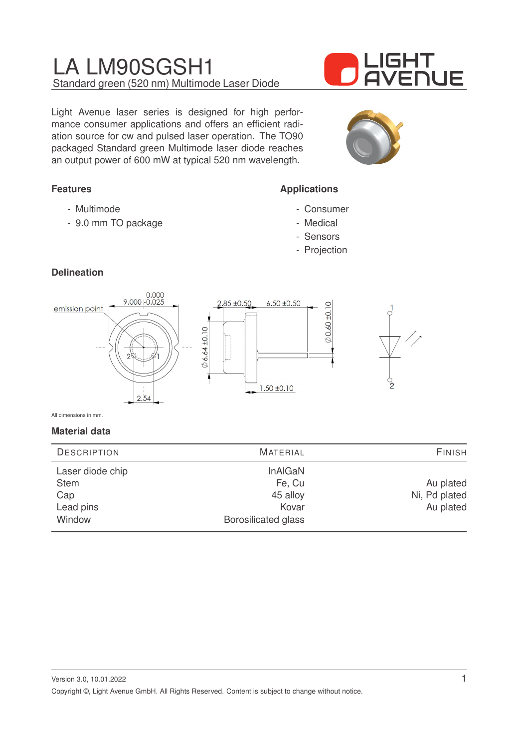## LA LM90SGSH1 Standard green (520 nm) Multimode Laser Diode

Light Avenue laser series is designed for high performance consumer applications and offers an efficient radiation source for cw and pulsed laser operation. The TO90 packaged Standard green Multimode laser diode reaches an output power of 600 mW at typical 520 nm wavelength.

## **Features**

- Multimode
- 9.0 mm TO package

# IGHT <u>AVENUE</u>



## **Applications**

- Consumer
- Medical
- Sensors
- Projection

## **Delineation**



All dimensions in mm.

#### **Material data**

| <b>DESCRIPTION</b>              | <b>MATERIAL</b>              | <b>FINISH</b> |
|---------------------------------|------------------------------|---------------|
| Laser diode chip<br><b>Stem</b> | <b>InAIGaN</b><br>Fe, Cu     | Au plated     |
| Cap                             | 45 alloy                     | Ni, Pd plated |
| Lead pins<br>Window             | Kovar<br>Borosilicated glass | Au plated     |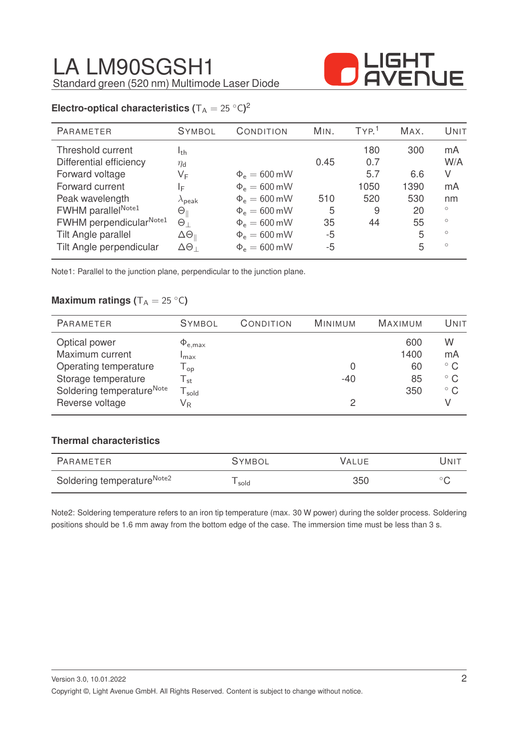

## **Electro-optical characteristics (** $T_A = 25 °C$ )<sup>2</sup>

| PARAMETER                | <b>SYMBOL</b>              | CONDITION         | MIN. | TYP <sup>1</sup> | MAX. | UNIT    |
|--------------------------|----------------------------|-------------------|------|------------------|------|---------|
| Threshold current        | I <sub>th</sub>            |                   |      | 180              | 300  | mA      |
| Differential efficiency  | $\eta_{\rm d}$             |                   | 0.45 | 0.7              |      | W/A     |
| Forward voltage          | VF                         | $\Phi_e = 600$ mW |      | 5.7              | 6.6  | V       |
| Forward current          | ΙĘ                         | $\Phi_e = 600$ mW |      | 1050             | 1390 | mA      |
| Peak wavelength          | $\lambda_{\text{peak}}$    | $\Phi_e = 600$ mW | 510  | 520              | 530  | nm      |
| FWHM parallelNote1       | $\Theta_\parallel$         | $\Phi_e = 600$ mW | 5    | 9                | 20   | $\circ$ |
| FWHM perpendicularNote1  | $\Theta_{\perp}$           | $\Phi_e = 600$ mW | 35   | 44               | 55   | $\circ$ |
| Tilt Angle parallel      | $\Delta\Theta_{\parallel}$ | $\Phi_e = 600$ mW | $-5$ |                  | 5    | $\circ$ |
| Tilt Angle perpendicular | $\Delta\Theta_{\perp}$     | $\Phi_e = 600$ mW | $-5$ |                  | 5    | $\circ$ |
|                          |                            |                   |      |                  |      |         |

Note1: Parallel to the junction plane, perpendicular to the junction plane.

#### **Maximum ratings (** $T_A = 25 °C$ )

| <b>PARAMETER</b>                                             | <b>SYMBOL</b>                                               | CONDITION | MINIMUM | <b>MAXIMUM</b> | UNIT                         |
|--------------------------------------------------------------|-------------------------------------------------------------|-----------|---------|----------------|------------------------------|
| Optical power<br>Maximum current                             | $\Phi_{\rm e, max}$                                         |           |         | 600<br>1400    | W<br>mA                      |
| Operating temperature                                        | Imax<br>$\mathsf{T}_{\mathsf{op}}$                          |           | 0       | 60             | $^{\circ}$ C                 |
| Storage temperature<br>Soldering temperature <sup>Note</sup> | $\mathsf{T}_{\mathsf{st}}$<br>$\mathsf{T}_{\mathsf{solid}}$ |           | $-40$   | 85<br>350      | $^{\circ}$ C<br>$^{\circ}$ C |
| Reverse voltage                                              | V <sub>R</sub>                                              |           | 2       |                |                              |

#### **Thermal characteristics**

| PARAMETER                              | <b>SYMBOL</b> | VALUE | UNIT |
|----------------------------------------|---------------|-------|------|
| Soldering temperature <sup>Note2</sup> | sold          | 350   |      |

Note2: Soldering temperature refers to an iron tip temperature (max. 30 W power) during the solder process. Soldering positions should be 1.6 mm away from the bottom edge of the case. The immersion time must be less than 3 s.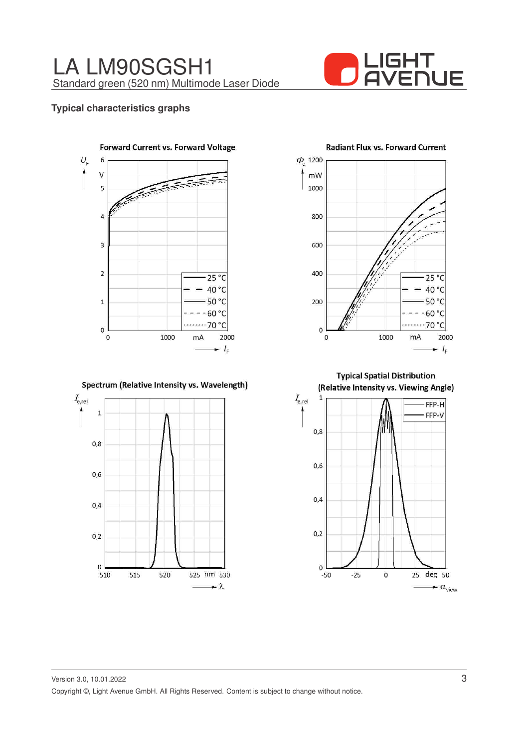

**Radiant Flux vs. Forward Current** 

#### **Typical characteristics graphs**



Spectrum (Relative Intensity vs. Wavelength)



 $\overline{\varPhi}_{\!\scriptscriptstyle\mu}$  1200 mW 1000 800 600 400  $25^{\circ}$ C 40 °C 50 °C 200  $-60 °C$ 70 °C  $\mathbf 0$  $\mathbf{0}$ 1000 mA 2000  $- I_{\rm F}$ 

**Typical Spatial Distribution** (Relative Intensity vs. Viewing Angle)

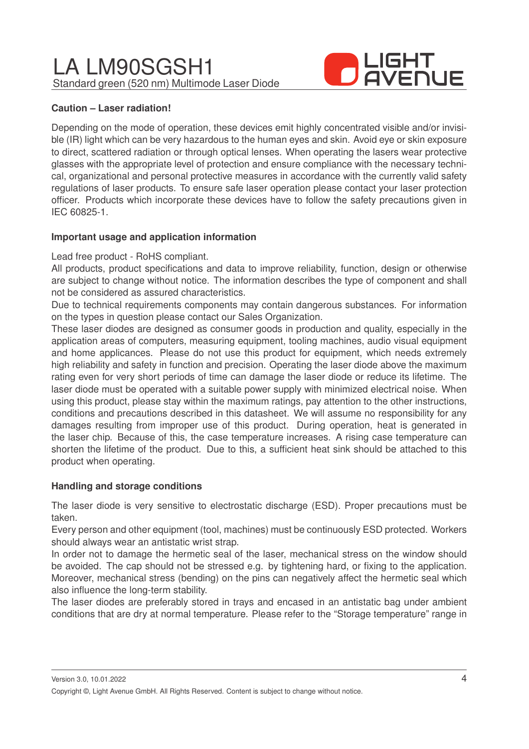LA LM90SGSH1 Standard green (520 nm) Multimode Laser Diode



#### **Caution – Laser radiation!**

Depending on the mode of operation, these devices emit highly concentrated visible and/or invisible (IR) light which can be very hazardous to the human eyes and skin. Avoid eye or skin exposure to direct, scattered radiation or through optical lenses. When operating the lasers wear protective glasses with the appropriate level of protection and ensure compliance with the necessary technical, organizational and personal protective measures in accordance with the currently valid safety regulations of laser products. To ensure safe laser operation please contact your laser protection officer. Products which incorporate these devices have to follow the safety precautions given in IEC 60825-1.

#### **Important usage and application information**

#### Lead free product - RoHS compliant.

All products, product specifications and data to improve reliability, function, design or otherwise are subject to change without notice. The information describes the type of component and shall not be considered as assured characteristics.

Due to technical requirements components may contain dangerous substances. For information on the types in question please contact our Sales Organization.

These laser diodes are designed as consumer goods in production and quality, especially in the application areas of computers, measuring equipment, tooling machines, audio visual equipment and home applicances. Please do not use this product for equipment, which needs extremely high reliability and safety in function and precision. Operating the laser diode above the maximum rating even for very short periods of time can damage the laser diode or reduce its lifetime. The laser diode must be operated with a suitable power supply with minimized electrical noise. When using this product, please stay within the maximum ratings, pay attention to the other instructions, conditions and precautions described in this datasheet. We will assume no responsibility for any damages resulting from improper use of this product. During operation, heat is generated in the laser chip. Because of this, the case temperature increases. A rising case temperature can shorten the lifetime of the product. Due to this, a sufficient heat sink should be attached to this product when operating.

#### **Handling and storage conditions**

The laser diode is very sensitive to electrostatic discharge (ESD). Proper precautions must be taken.

Every person and other equipment (tool, machines) must be continuously ESD protected. Workers should always wear an antistatic wrist strap.

In order not to damage the hermetic seal of the laser, mechanical stress on the window should be avoided. The cap should not be stressed e.g. by tightening hard, or fixing to the application. Moreover, mechanical stress (bending) on the pins can negatively affect the hermetic seal which also influence the long-term stability.

The laser diodes are preferably stored in trays and encased in an antistatic bag under ambient conditions that are dry at normal temperature. Please refer to the "Storage temperature" range in

Version 3.0, 10.01.2022

Copyright ©, Light Avenue GmbH. All Rights Reserved. Content is subject to change without notice.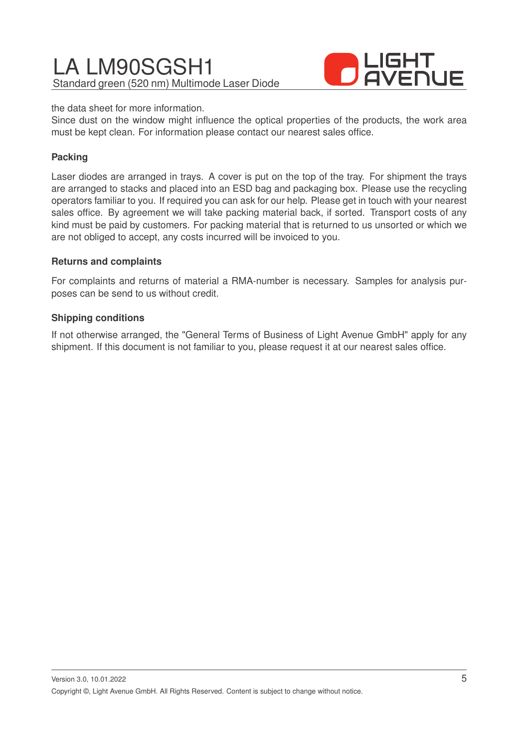# LA LM90SGSH1 Standard green (520 nm) Multimode Laser Diode



the data sheet for more information.

Since dust on the window might influence the optical properties of the products, the work area must be kept clean. For information please contact our nearest sales office.

#### **Packing**

Laser diodes are arranged in trays. A cover is put on the top of the tray. For shipment the trays are arranged to stacks and placed into an ESD bag and packaging box. Please use the recycling operators familiar to you. If required you can ask for our help. Please get in touch with your nearest sales office. By agreement we will take packing material back, if sorted. Transport costs of any kind must be paid by customers. For packing material that is returned to us unsorted or which we are not obliged to accept, any costs incurred will be invoiced to you.

#### **Returns and complaints**

For complaints and returns of material a RMA-number is necessary. Samples for analysis purposes can be send to us without credit.

#### **Shipping conditions**

If not otherwise arranged, the "General Terms of Business of Light Avenue GmbH" apply for any shipment. If this document is not familiar to you, please request it at our nearest sales office.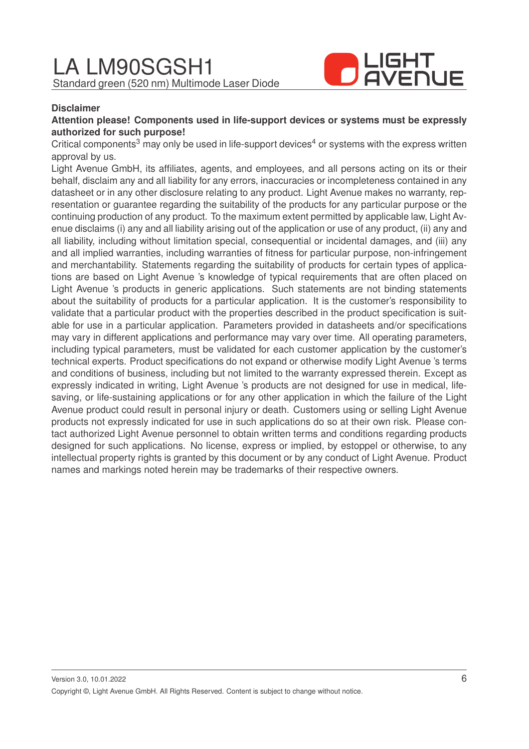

#### **Disclaimer**

#### **Attention please! Components used in life-support devices or systems must be expressly authorized for such purpose!**

Critical components<sup>3</sup> may only be used in life-support devices<sup>4</sup> or systems with the express written approval by us.

Light Avenue GmbH, its affiliates, agents, and employees, and all persons acting on its or their behalf, disclaim any and all liability for any errors, inaccuracies or incompleteness contained in any datasheet or in any other disclosure relating to any product. Light Avenue makes no warranty, representation or guarantee regarding the suitability of the products for any particular purpose or the continuing production of any product. To the maximum extent permitted by applicable law, Light Avenue disclaims (i) any and all liability arising out of the application or use of any product, (ii) any and all liability, including without limitation special, consequential or incidental damages, and (iii) any and all implied warranties, including warranties of fitness for particular purpose, non-infringement and merchantability. Statements regarding the suitability of products for certain types of applications are based on Light Avenue 's knowledge of typical requirements that are often placed on Light Avenue 's products in generic applications. Such statements are not binding statements about the suitability of products for a particular application. It is the customer's responsibility to validate that a particular product with the properties described in the product specification is suitable for use in a particular application. Parameters provided in datasheets and/or specifications may vary in different applications and performance may vary over time. All operating parameters, including typical parameters, must be validated for each customer application by the customer's technical experts. Product specifications do not expand or otherwise modify Light Avenue 's terms and conditions of business, including but not limited to the warranty expressed therein. Except as expressly indicated in writing, Light Avenue 's products are not designed for use in medical, lifesaving, or life-sustaining applications or for any other application in which the failure of the Light Avenue product could result in personal injury or death. Customers using or selling Light Avenue products not expressly indicated for use in such applications do so at their own risk. Please contact authorized Light Avenue personnel to obtain written terms and conditions regarding products designed for such applications. No license, express or implied, by estoppel or otherwise, to any intellectual property rights is granted by this document or by any conduct of Light Avenue. Product names and markings noted herein may be trademarks of their respective owners.